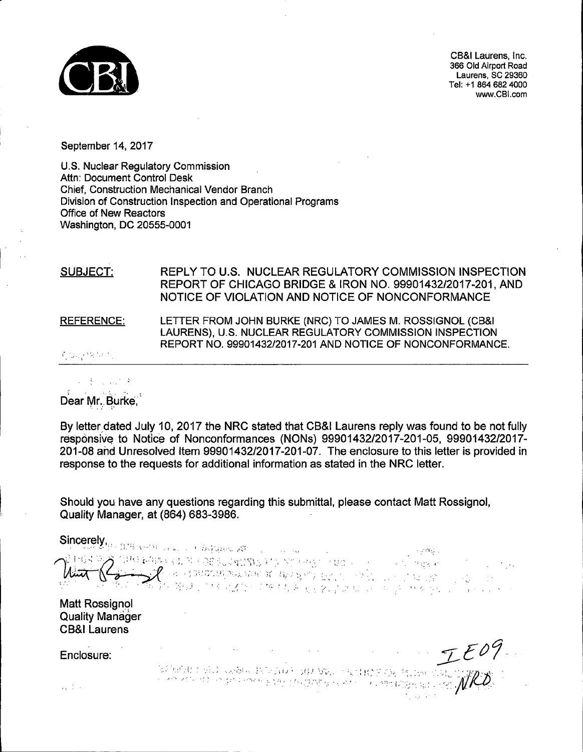

CB&I Laurens, Inc. 366 Old Airport Road Laurens, SC 29360 Tel: +1 864 682 4000 www.CBl.com

September 14, 2017

U.S. Nuclear Regulatory Commission Attn: Document Control Desk Chief, Construction Mechanical Vendor Branch Division of Construction Inspection and Operational Programs Office of New Reactors Washington, DC 20555-0001

#### SUBJECT: REFERENCE: REPLY TO U.S. NUCLEAR REGULATORY COMMISSION INSPECTION REPORT OF CHICAGO BRIDGE & IRON NO. 99901432/2017-201, AND NOTICE OF VIOLATION AND NOTICE OF NONCONFORMANCE LETTER FROM JOHN BURKE (NRC) TO JAMES M. ROSSIGNOL (CB&I LAURENS), U.S. NUCLEAR REGULATORY COMMISSION INSPECTION REPORT NO. 99901432/2017-201 AND NOTICE OF NONCONFORMANCE.

·''.-: ·.·

Dear Mr. Burke,

By letter dated July 10, 2017 the NRC stated that CB&I Laurens reply was found to be not fully responsive to Notice of Nonconformances (NONs) 99901432/2017-201-05, 99901432/2017-201-08 and Unresolved Item 99901432/2017-201-07. The enclosure to this letter is provided in response to the requests for additional information as stated in the NRC letter.

Should you have any questions regarding this submittal, please contact Matt Rossignol, Quality Manager, at (864) 683-3986.

Sincerely, . ...... -....• :·. ;·:.··:: .. \ .,'··: 'n Coloraton and a marked the coloration of the coloration of the coloration of the coloration of the coloration of the coloration of the coloration of the coloration of the coloration of the coloration of the coloration o

Matt Rossignol Quality Manager CB&I Laurens

Enclosure:

 $1.11$ 

IE09

. *:* :' ~ '·: . ,.

.J , • .\_ ,I , .. ' • ~ ' ... ~ : • • •• ··, .' l ' " • : . .· ' ~: ;, ,. · .. '.'' l: ~ [ , · . ,. i ~ .I '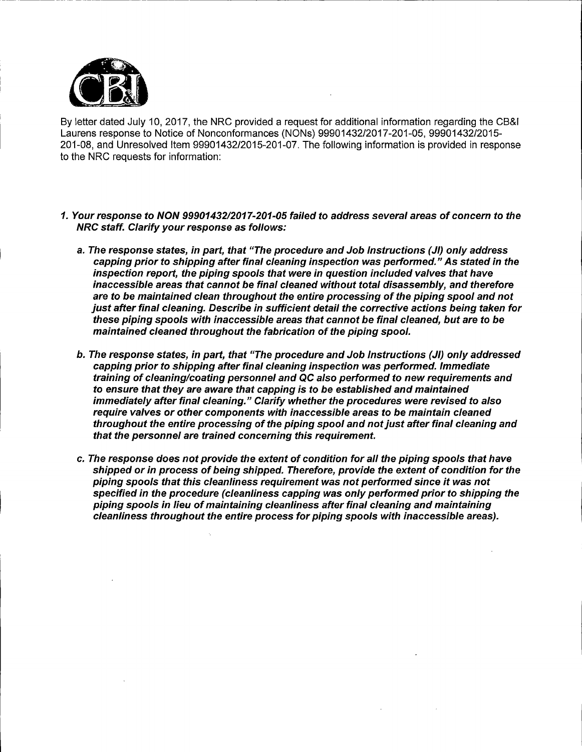

l<br>Listo

\_\_\_\_\_ ------

By letter dated July 10, 2017, the NRC provided a request for additional information regarding the CB&I Laurens response to Notice of Nonconformances (NONs) 99901432/2017-201-05, 99901432/2015- 201-08, and Unresolved Item 99901432/2015-201-07. The following information is provided in response to the NRC requests for information:

- 1. Your response to NON 9990143212017-201-05 failed to address several areas of concern to the NRC staff. Clarify your response as follows:
	- a. The response states, in part, that "The procedure and Job Instructions (JI) only address capping prior to shipping after final cleaning inspection was performed." As stated in the inspection report, the piping spools that were in question included valves that have inaccessible areas that cannot be final cleaned without total disassembly, and therefore are to be maintained clean throughout the entire processing of the piping spool and not just after final cleaning. Describe in sufficient detail the corrective actions being taken for these piping spools with inaccessible areas that cannot be final cleaned, but are to be maintained cleaned throughout the fabrication of the piping spool.
	- b. The response states, in part, that "The procedure and Job Instructions (JI) only addressed capping prior to shipping after final cleaning inspection was performed. Immediate training of cleaning/coating personnel and QC also performed to new requirements and to ensure that they are aware that capping is to be established and maintained immediately after final cleaning." Clarify whether the procedures were revised to also require valves or other components with inaccessible areas to be maintain cleaned throughout the entire processing of the piping spool and not just after final cleaning and that the personnel are trained concerning this requirement.
	- c. The response does not provide the extent of condition for all the piping spools that have shipped or in process of being shipped. Therefore, provide the extent of condition for the piping spools that this cleanliness requirement was not performed since it was not specified in the procedure (cleanliness capping was only performed prior to shipping the piping spools in lieu of maintaining cleanliness after final cleaning and maintaining cleanliness throughout the entire process for piping spools with inaccessible areas).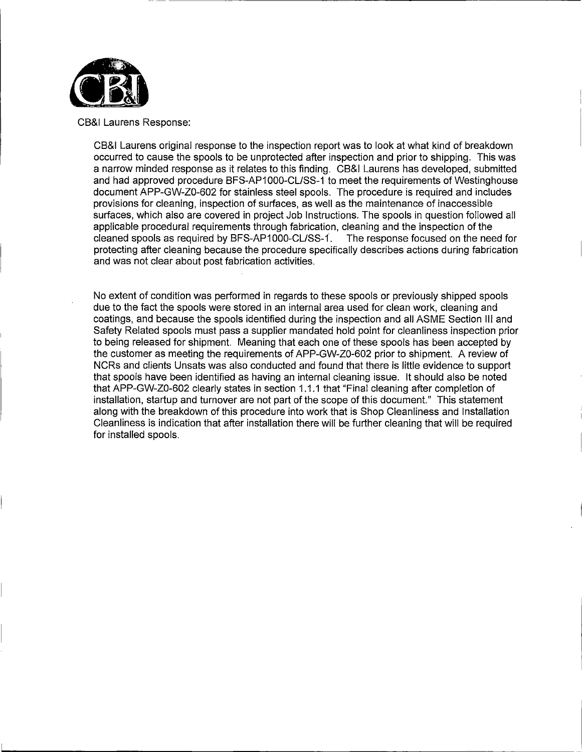

CB&I Laurens Response:

CB&I Laurens original response to the inspection report was to look at what kind of breakdown occurred to cause the spools to be unprotected after inspection and prior to shipping. This was a narrow minded response as it relates to this finding. CB&I Laurens has developed, submitted and had approved procedure BFS-AP1000-CL/SS-1 to meet the requirements of Westinghouse document APP-GW-Z0-602 for stainless steel spools. The procedure is required and includes provisions for cleaning, inspection of surfaces, as well as the maintenance of inaccessible surfaces, which also are covered in project Job Instructions. The spools in question followed all applicable procedural requirements through fabrication, cleaning and the inspection of the cleaned spools as required by BFS-AP1000-CL/SS-1. The response focused on the need for protecting after cleaning because the procedure specifically describes actions during fabrication and was not clear about post fabrication activities.

No extent of condition was performed in regards to these spools or previously shipped spools due to the fact the spools were stored in an internal area used for clean work, cleaning and coatings, and because the spools identified during the inspection and all ASME Section Ill and Safety Related spools must pass a supplier mandated hold point for cleanliness inspection prior to being released for shipment. Meaning that each one of these spools has been accepted by the customer as meeting the requirements of APP-GW-Z0-602 prior to shipment. A review of NCRs and clients Unsats was also conducted and found that there is little evidence to support that spools have been identified as having an internal cleaning issue. It should also be noted that APP-GW-Z0-602 clearly states in section 1.1.1 that "Final cleaning after completion of installation, startup and turnover are not part of the scope of this document." This statement along with the breakdown of this procedure into work that is Shop Cleanliness and Installation Cleanliness is indication that after installation there will be further cleaning that will be required for installed spools.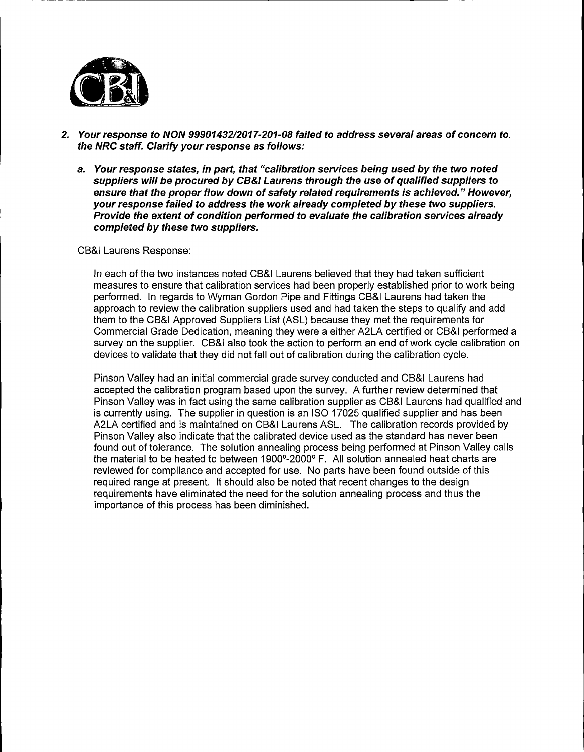

- 2. Your response to NON 9990143212017-201-08 failed to address several areas of concern to. the NRC staff. Clarify your response as follows:
	- a. Your response states, in part, that "calibration services being used by the two noted suppliers will be procured by CB&/ Laurens through the use of qualified suppliers to ensure that the proper flow down of safety related requirements is achieved." However, your response failed to address the work already completed by these two suppliers. Provide the extent of condition performed to evaluate the calibration services already completed by these two suppliers.

CB&I Laurens Response:

In each of the two instances noted CB&I Laurens believed that they had taken sufficient measures to ensure that calibration services had been properly established prior to work being performed. In regards to Wyman Gordon Pipe and Fittings CB&I Laurens had taken the approach to review the calibration suppliers used and had taken the steps to qualify and add them to the CB&I Approved Suppliers List (ASL) because they met the requirements for Commercial Grade Dedication, meaning they were a either A2LA certified or CB&I performed a survey on the supplier. CB&I also took the action to perform an end of work cycle calibration on devices to validate that they did not fall out of calibration during the calibration cycle.

Pinson Valley had an initial commercial grade survey conducted and CB&I Laurens had accepted the calibration program based upon the survey. A further review determined that Pinson Valley was in fact using the same calibration supplier as CB&I Laurens had qualified and is currently using. The supplier in question is an ISO 17025 qualified supplier and has been A2LA certified and is maintained on CB&I Laurens ASL. The calibration records provided by Pinson Valley also indicate that the calibrated device used as the standard has never been found out of tolerance. The solution annealing process being performed at Pinson Valley calls the material to be heated to between 1900°-2000° F. All solution annealed heat charts are reviewed for compliance and accepted for use. No parts have been found outside of this required range at present. It should also be noted that recent changes to the design requirements have eliminated the need for the solution annealing process and thus the importance of this process has been diminished.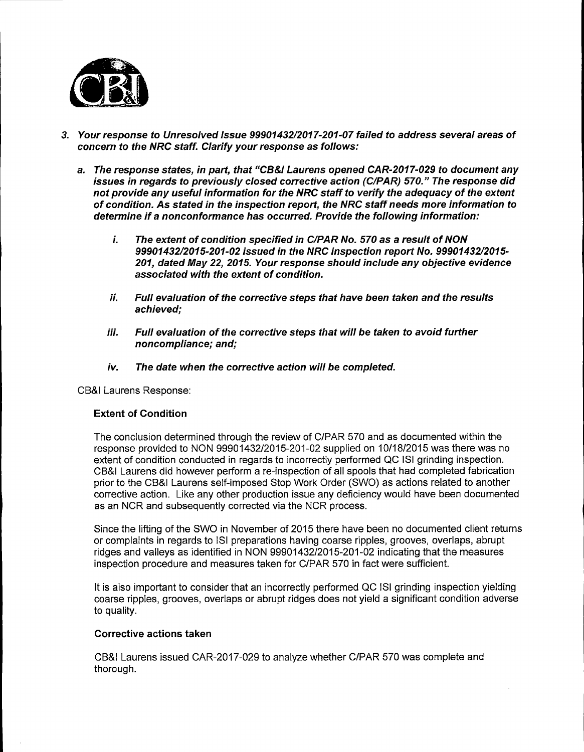

- 3. Your response to Unresolved Issue 9990143212017-201-07 failed to address several areas of concern to the NRC staff. Clarify your response as follows:
	- a. The response states, in part, that "CB&/ Laurens opened CAR-2017-029 to document any issues in regards to previously closed corrective action (C/PAR) 570." The response did not provide any useful information for the NRC staff to verify the adequacy of the extent of condition. As stated in the inspection report, the NRC staff needs more information to determine if a nonconformance has occurred. Provide the following information:
		- i. The extent of condition specified in C/PAR No. 570 as a result of NON 9990143212015-201-02 issued in the NRC inspection report No. 9990143212015- 201, dated May 22, 2015. Your response should include any objective evidence associated with the extent of condition.
		- ii. Full evaluation of the corrective steps that have been taken and the results achieved;
		- iii. Full evaluation of the corrective steps that will be taken to avoid further noncompliance; and;
		- iv. The date when the corrective action will be completed.

CB&I Laurens Response:

## Extent of Condition

The conclusion determined through the review of C/PAR 570 and as documented within the response provided to NON 99901432/2015-201-02 supplied on 10/18/2015 was there was no extent of condition conducted in regards to incorrectly performed QC ISI grinding inspection. CB&I Laurens did however perform a re-inspection of all spools that had completed fabrication prior to the CB&I Laurens self-imposed Stop Work Order (SWO) as actions related to another corrective action. Like any other production issue any deficiency would have been documented as an NCR and subsequently corrected via the NCR process.

Since the lifting of the SWO in November of 2015 there have been no documented client returns or complaints in regards to ISi preparations having coarse ripples, grooves, overlaps, abrupt ridges and valleys as identified in NON 99901432/2015-201-02 indicating that the measures inspection procedure and measures taken for C/PAR 570 in fact were sufficient.

It is also important to consider that an incorrectly performed QC ISi grinding inspection yielding coarse ripples, grooves, overlaps or abrupt ridges does not yield a significant condition adverse to quality.

### Corrective actions taken

CB&I Laurens issued CAR-2017-029 to analyze whether C/PAR 570 was complete and thorough.